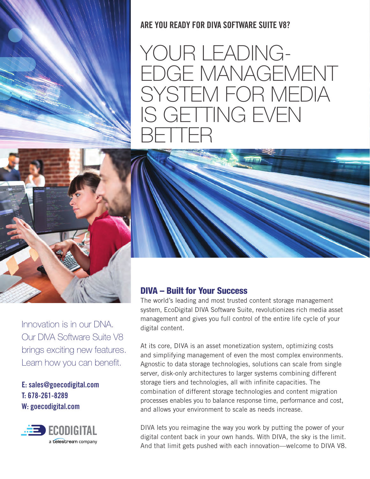

ARE YOU READY FOR DIVA SOFTWARE SUITE V8?

YOUR LEADING-EDGE MANAGEMENT SYSTEM FOR MEDIA IS GETTING EVEN BETTER



Innovation is in our DNA. Our DIVA Software Suite V8 brings exciting new features. Learn how you can benefit.

## E: sales@goecodigital.com T: 678-261-8289 W: goecodigital.com



## DIVA – Built for Your Success

The world's leading and most trusted content storage management system, EcoDigital DIVA Software Suite, revolutionizes rich media asset management and gives you full control of the entire life cycle of your digital content.

At its core, DIVA is an asset monetization system, optimizing costs and simplifying management of even the most complex environments. Agnostic to data storage technologies, solutions can scale from single server, disk-only architectures to larger systems combining different storage tiers and technologies, all with infinite capacities. The combination of different storage technologies and content migration processes enables you to balance response time, performance and cost, and allows your environment to scale as needs increase.

DIVA lets you reimagine the way you work by putting the power of your digital content back in your own hands. With DIVA, the sky is the limit. And that limit gets pushed with each innovation—welcome to DIVA V8.